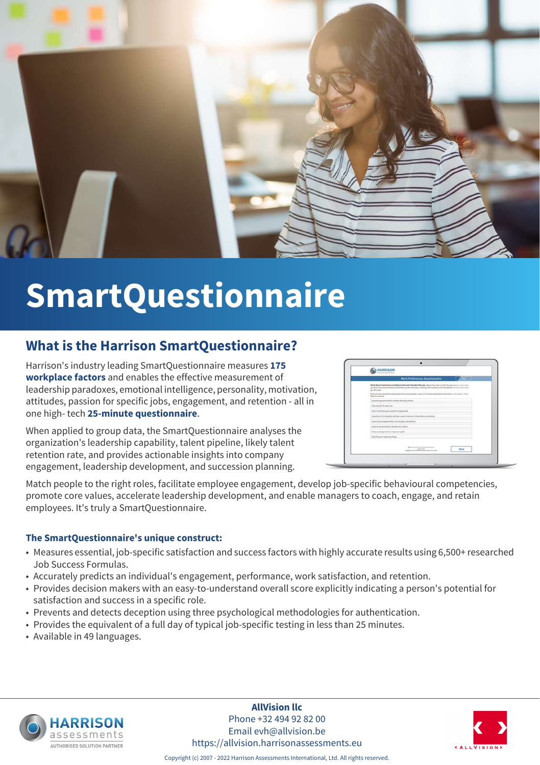

# **SmartQuestionnaire**

#### **What is the Harrison SmartQuestionnaire?**

Harrison's industry leading SmartQuestionnaire measures **175 workplace factors** and enables the effective measurement of leadership paradoxes, emotional intelligence, personality, motivation, attitudes, passion for specific jobs, engagement, and retention - all in one high- tech **25-minute questionnaire**.

When applied to group data, the SmartQuestionnaire analyses the organization's leadership capability, talent pipeline, likely talent retention rate, and provides actionable insights into company engagement, leadership development, and succession planning.

| <b>HARRISON</b><br>ssessments                                                                                                                                                                                                                                  |
|----------------------------------------------------------------------------------------------------------------------------------------------------------------------------------------------------------------------------------------------------------------|
| <b>Work Preferences Questionnaire</b><br>Exit                                                                                                                                                                                                                  |
| Rank these 8 sentences according to how well they describe you. Adjust the order so that the top sentence describes<br>you best, the second sentence describes you the next best, ranking each sentence until the bottom sentence describes.<br>you the least. |
| Click an item and while holding down the mouse button, move it to the desired location (and release the button). Click<br>Next to continue.                                                                                                                    |
| I would enjoy work which involves driving a vehicle                                                                                                                                                                                                            |
| I like myself the way I am                                                                                                                                                                                                                                     |
| I don't mind having to stand for long periods                                                                                                                                                                                                                  |
| I extend a lot of empathy and take a warm interest in how others are feeling                                                                                                                                                                                   |
| I want to be recognised for my strengths and abilities                                                                                                                                                                                                         |
| I want to do work that is beneficial to others.                                                                                                                                                                                                                |
| I have a strong intent to improve myself.                                                                                                                                                                                                                      |
| I like fixing or repairing things                                                                                                                                                                                                                              |
| Page 1 of 18<br>Next<br>Copyright O 1995-2014 Flaminum Robrischweis bei Langued                                                                                                                                                                                |

Match people to the right roles, facilitate employee engagement, develop job-specific behavioural competencies, promote core values, accelerate leadership development, and enable managers to coach, engage, and retain employees. It's truly a SmartQuestionnaire.

#### **The SmartQuestionnaire's unique construct:**

- Measures essential, job-specific satisfaction and success factors with highly accurate results using 6,500+ researched Job Success Formulas.
- Accurately predicts an individual's engagement, performance, work satisfaction, and retention.
- Provides decision makers with an easy-to-understand overall score explicitly indicating a person's potential for satisfaction and success in a specific role.
- Prevents and detects deception using three psychological methodologies for authentication.
- Provides the equivalent of a full day of typical job-specific testing in less than 25 minutes.
- Available in 49 languages.



**AllVision llc** Phone +32 494 92 82 00 Email evh@allvision.be https://allvision.harrisonassessments.eu